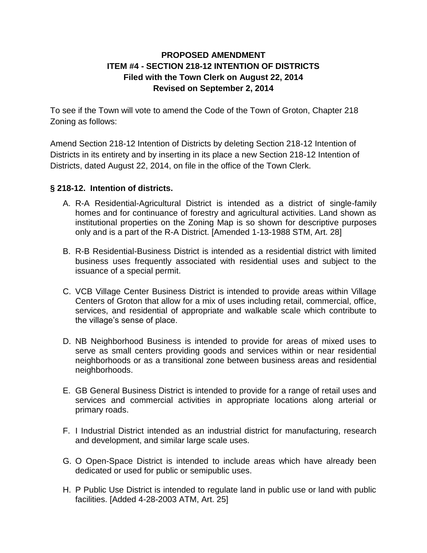## **PROPOSED AMENDMENT ITEM #4 - SECTION 218-12 INTENTION OF DISTRICTS Filed with the Town Clerk on August 22, 2014 Revised on September 2, 2014**

To see if the Town will vote to amend the Code of the Town of Groton, Chapter 218 Zoning as follows:

Amend Section 218-12 Intention of Districts by deleting Section 218-12 Intention of Districts in its entirety and by inserting in its place a new Section 218-12 Intention of Districts, dated August 22, 2014, on file in the office of the Town Clerk.

## **§ 218-12. Intention of districts.**

- A. R-A Residential-Agricultural District is intended as a district of single-family homes and for continuance of forestry and agricultural activities. Land shown as institutional properties on the Zoning Map is so shown for descriptive purposes only and is a part of the R-A District. [Amended 1-13-1988 STM, Art. 28]
- B. R-B Residential-Business District is intended as a residential district with limited business uses frequently associated with residential uses and subject to the issuance of a special permit.
- C. VCB Village Center Business District is intended to provide areas within Village Centers of Groton that allow for a mix of uses including retail, commercial, office, services, and residential of appropriate and walkable scale which contribute to the village's sense of place.
- D. NB Neighborhood Business is intended to provide for areas of mixed uses to serve as small centers providing goods and services within or near residential neighborhoods or as a transitional zone between business areas and residential neighborhoods.
- E. GB General Business District is intended to provide for a range of retail uses and services and commercial activities in appropriate locations along arterial or primary roads.
- F. I Industrial District intended as an industrial district for manufacturing, research and development, and similar large scale uses.
- G. O Open-Space District is intended to include areas which have already been dedicated or used for public or semipublic uses.
- H. P Public Use District is intended to regulate land in public use or land with public facilities. [Added 4-28-2003 ATM, Art. 25]